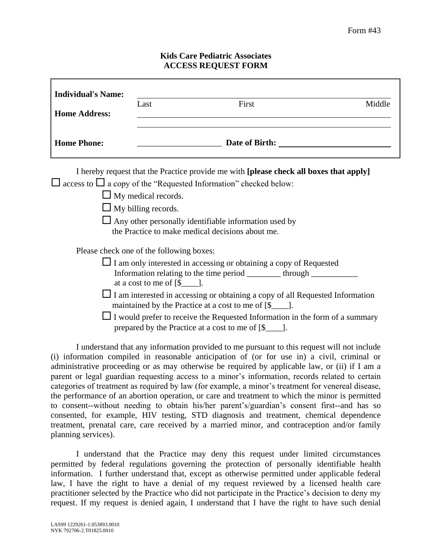## **Kids Care Pediatric Associates ACCESS REQUEST FORM**

| <b>Individual's Name:</b><br><b>Home Address:</b>                                                                                                                                                                                                                                                                                                                                                                                                                                                                                                                                                                                                                                                                                                                                                                                                                                                    | Last | First | Middle |
|------------------------------------------------------------------------------------------------------------------------------------------------------------------------------------------------------------------------------------------------------------------------------------------------------------------------------------------------------------------------------------------------------------------------------------------------------------------------------------------------------------------------------------------------------------------------------------------------------------------------------------------------------------------------------------------------------------------------------------------------------------------------------------------------------------------------------------------------------------------------------------------------------|------|-------|--------|
| <b>Home Phone:</b>                                                                                                                                                                                                                                                                                                                                                                                                                                                                                                                                                                                                                                                                                                                                                                                                                                                                                   |      |       |        |
| I hereby request that the Practice provide me with [please check all boxes that apply]<br>access to $\Box$ a copy of the "Requested Information" checked below:<br>$\Box$ My medical records.<br>$\Box$ My billing records.<br>$\Box$ Any other personally identifiable information used by<br>the Practice to make medical decisions about me.<br>Please check one of the following boxes:<br>$\Box$ I am only interested in accessing or obtaining a copy of Requested<br>Information relating to the time period __________ through _____________________<br>at a cost to me of $[\$$ ____].<br>$\perp$ I am interested in accessing or obtaining a copy of all Requested Information<br>maintained by the Practice at a cost to me of [\$_____].<br>$\Box$ I would prefer to receive the Requested Information in the form of a summary<br>prepared by the Practice at a cost to me of [\$____]. |      |       |        |

I understand that any information provided to me pursuant to this request will not include (i) information compiled in reasonable anticipation of (or for use in) a civil, criminal or administrative proceeding or as may otherwise be required by applicable law, or (ii) if I am a parent or legal guardian requesting access to a minor's information, records related to certain categories of treatment as required by law (for example, a minor's treatment for venereal disease, the performance of an abortion operation, or care and treatment to which the minor is permitted to consent--without needing to obtain his/her parent's/guardian's consent first--and has so consented, for example, HIV testing, STD diagnosis and treatment, chemical dependence treatment, prenatal care, care received by a married minor, and contraception and/or family planning services).

I understand that the Practice may deny this request under limited circumstances permitted by federal regulations governing the protection of personally identifiable health information. I further understand that, except as otherwise permitted under applicable federal law, I have the right to have a denial of my request reviewed by a licensed health care practitioner selected by the Practice who did not participate in the Practice's decision to deny my request. If my request is denied again, I understand that I have the right to have such denial